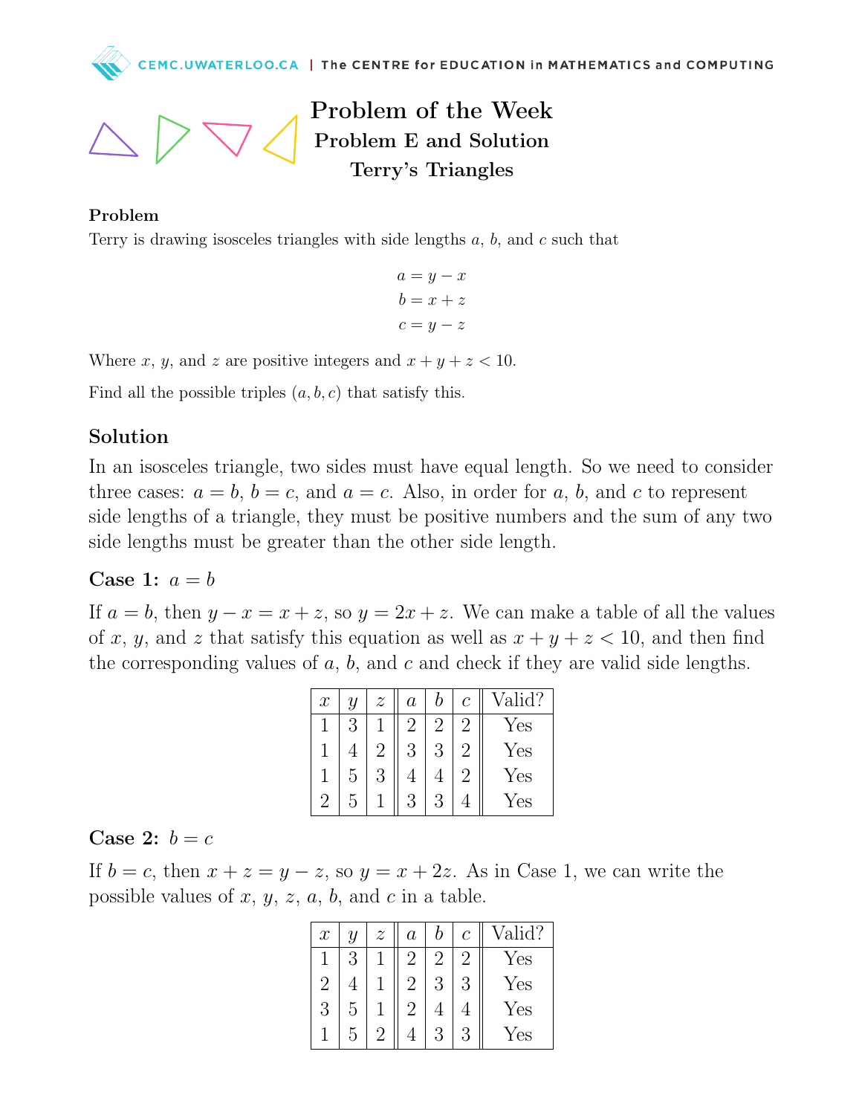



Problem of the Week Problem E and Solution Terry's Triangles

#### Problem

Terry is drawing isosceles triangles with side lengths  $a, b$ , and  $c$  such that

 $a = y - x$  $b = x + z$  $c = y - z$ 

Where x, y, and z are positive integers and  $x + y + z < 10$ .

Find all the possible triples  $(a, b, c)$  that satisfy this.

### Solution

In an isosceles triangle, two sides must have equal length. So we need to consider three cases:  $a = b$ ,  $b = c$ , and  $a = c$ . Also, in order for a, b, and c to represent side lengths of a triangle, they must be positive numbers and the sum of any two side lengths must be greater than the other side length.

### Case 1:  $a = b$

If  $a = b$ , then  $y - x = x + z$ , so  $y = 2x + z$ . We can make a table of all the values of x, y, and z that satisfy this equation as well as  $x + y + z < 10$ , and then find the corresponding values of  $a, b$ , and  $c$  and check if they are valid side lengths.

| $\mathcal{X}$ | Y | $\boldsymbol{z}$ | $\it a$ | Ŋ              | $\mathcal C$ | Valid? |
|---------------|---|------------------|---------|----------------|--------------|--------|
|               | 3 |                  | ۰,      | $\overline{2}$ | ٠,           | Yes    |
|               | 4 | 2                | 3       | 3              | 9            | Yes    |
|               | 5 | 3                |         |                | ٠,           | Yes    |
| $\mathcal{D}$ | 5 |                  | 3       | 3              |              | Yes    |

## Case 2:  $b = c$

If  $b = c$ , then  $x + z = y - z$ , so  $y = x + 2z$ . As in Case 1, we can write the possible values of  $x, y, z, a, b$ , and  $c$  in a table.

| $\mathcal{X}$  | Y | $\widetilde{\mathcal{Z}}$ | $\it a$   | h       | $\mathcal C$ | Valid? |
|----------------|---|---------------------------|-----------|---------|--------------|--------|
|                | 3 |                           | $\dot{2}$ | $\cdot$ | ٠,           | Yes    |
| $\overline{2}$ |   |                           | 2         | 3       | 3            | Yes    |
| 3              | 5 |                           | 2         |         |              | Yes    |
|                | 5 | $\mathcal{L}$             |           | 3       | 3            | Yes    |